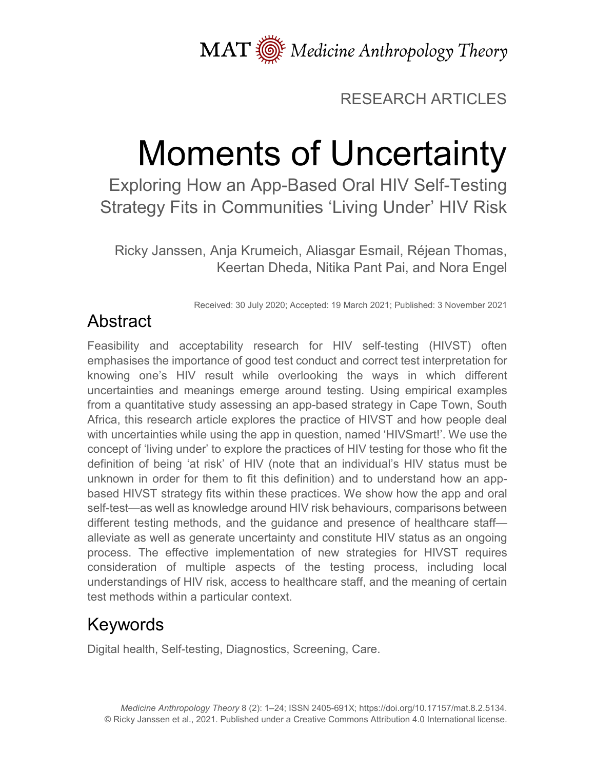MAT  $\overline{\text{W}}$  Medicine Anthropology Theory

#### RESEARCH ARTICLES

# Moments of Uncertainty

Exploring How an App-Based Oral HIV Self-Testing Strategy Fits in Communities 'Living Under' HIV Risk

Ricky Janssen, Anja Krumeich, Aliasgar Esmail, Réjean Thomas, Keertan Dheda, Nitika Pant Pai, and Nora Engel

Received: 30 July 2020; Accepted: 19 March 2021; Published: 3 November 2021

# Abstract

Feasibility and acceptability research for HIV self-testing (HIVST) often emphasises the importance of good test conduct and correct test interpretation for knowing one's HIV result while overlooking the ways in which different uncertainties and meanings emerge around testing. Using empirical examples from a quantitative study assessing an app-based strategy in Cape Town, South Africa, this research article explores the practice of HIVST and how people deal with uncertainties while using the app in question, named 'HIVSmart!'. We use the concept of 'living under' to explore the practices of HIV testing for those who fit the definition of being 'at risk' of HIV (note that an individual's HIV status must be unknown in order for them to fit this definition) and to understand how an appbased HIVST strategy fits within these practices. We show how the app and oral self-test—as well as knowledge around HIV risk behaviours, comparisons between different testing methods, and the guidance and presence of healthcare staff alleviate as well as generate uncertainty and constitute HIV status as an ongoing process. The effective implementation of new strategies for HIVST requires consideration of multiple aspects of the testing process, including local understandings of HIV risk, access to healthcare staff, and the meaning of certain test methods within a particular context.

## Keywords

Digital health, Self-testing, Diagnostics, Screening, Care.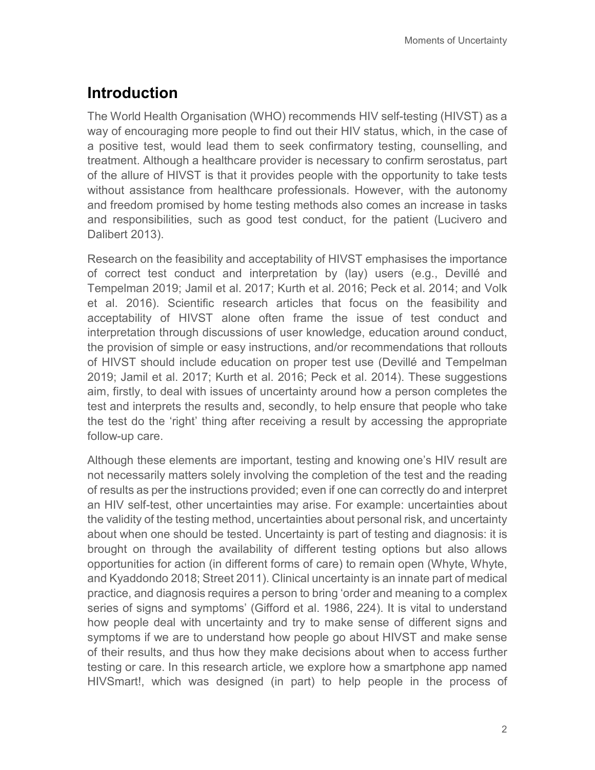## **Introduction**

The World Health Organisation (WHO) recommends HIV self-testing (HIVST) as a way of encouraging more people to find out their HIV status, which, in the case of a positive test, would lead them to seek confirmatory testing, counselling, and treatment. Although a healthcare provider is necessary to confirm serostatus, part of the allure of HIVST is that it provides people with the opportunity to take tests without assistance from healthcare professionals. However, with the autonomy and freedom promised by home testing methods also comes an increase in tasks and responsibilities, such as good test conduct, for the patient (Lucivero and Dalibert 2013).

Research on the feasibility and acceptability of HIVST emphasises the importance of correct test conduct and interpretation by (lay) users (e.g., Devillé and Tempelman 2019; Jamil et al. 2017; Kurth et al. 2016; Peck et al. 2014; and Volk et al. 2016). Scientific research articles that focus on the feasibility and acceptability of HIVST alone often frame the issue of test conduct and interpretation through discussions of user knowledge, education around conduct, the provision of simple or easy instructions, and/or recommendations that rollouts of HIVST should include education on proper test use (Devillé and Tempelman 2019; Jamil et al. 2017; Kurth et al. 2016; Peck et al. 2014). These suggestions aim, firstly, to deal with issues of uncertainty around how a person completes the test and interprets the results and, secondly, to help ensure that people who take the test do the 'right' thing after receiving a result by accessing the appropriate follow-up care.

Although these elements are important, testing and knowing one's HIV result are not necessarily matters solely involving the completion of the test and the reading of results as per the instructions provided; even if one can correctly do and interpret an HIV self-test, other uncertainties may arise. For example: uncertainties about the validity of the testing method, uncertainties about personal risk, and uncertainty about when one should be tested. Uncertainty is part of testing and diagnosis: it is brought on through the availability of different testing options but also allows opportunities for action (in different forms of care) to remain open (Whyte, Whyte, and Kyaddondo 2018; Street 2011). Clinical uncertainty is an innate part of medical practice, and diagnosis requires a person to bring 'order and meaning to a complex series of signs and symptoms' (Gifford et al. 1986, 224). It is vital to understand how people deal with uncertainty and try to make sense of different signs and symptoms if we are to understand how people go about HIVST and make sense of their results, and thus how they make decisions about when to access further testing or care. In this research article, we explore how a smartphone app named HIVSmart!, which was designed (in part) to help people in the process of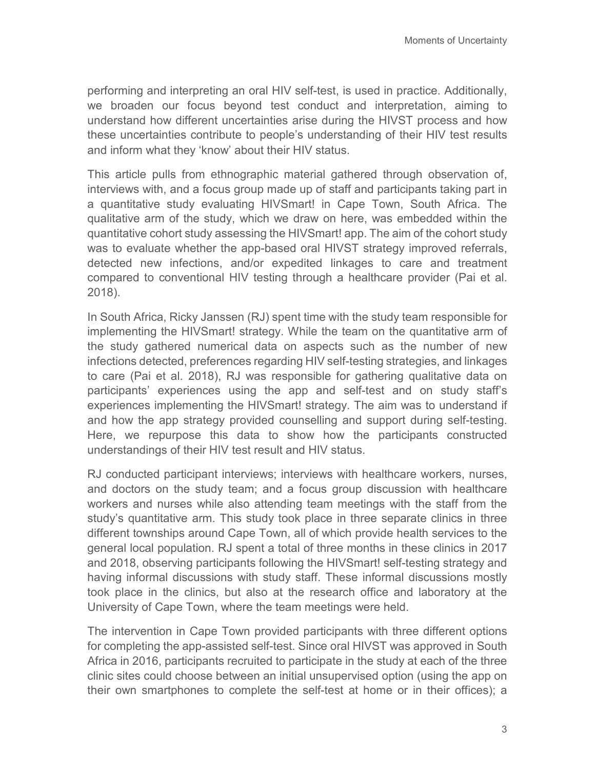performing and interpreting an oral HIV self-test, is used in practice. Additionally, we broaden our focus beyond test conduct and interpretation, aiming to understand how different uncertainties arise during the HIVST process and how these uncertainties contribute to people's understanding of their HIV test results and inform what they 'know' about their HIV status.

This article pulls from ethnographic material gathered through observation of, interviews with, and a focus group made up of staff and participants taking part in a quantitative study evaluating HIVSmart! in Cape Town, South Africa. The qualitative arm of the study, which we draw on here, was embedded within the quantitative cohort study assessing the HIVSmart! app. The aim of the cohort study was to evaluate whether the app-based oral HIVST strategy improved referrals, detected new infections, and/or expedited linkages to care and treatment compared to conventional HIV testing through a healthcare provider (Pai et al. 2018).

In South Africa, Ricky Janssen (RJ) spent time with the study team responsible for implementing the HIVSmart! strategy. While the team on the quantitative arm of the study gathered numerical data on aspects such as the number of new infections detected, preferences regarding HIV self-testing strategies, and linkages to care (Pai et al. 2018), RJ was responsible for gathering qualitative data on participants' experiences using the app and self-test and on study staff's experiences implementing the HIVSmart! strategy. The aim was to understand if and how the app strategy provided counselling and support during self-testing. Here, we repurpose this data to show how the participants constructed understandings of their HIV test result and HIV status.

RJ conducted participant interviews; interviews with healthcare workers, nurses, and doctors on the study team; and a focus group discussion with healthcare workers and nurses while also attending team meetings with the staff from the study's quantitative arm. This study took place in three separate clinics in three different townships around Cape Town, all of which provide health services to the general local population. RJ spent a total of three months in these clinics in 2017 and 2018, observing participants following the HIVSmart! self-testing strategy and having informal discussions with study staff. These informal discussions mostly took place in the clinics, but also at the research office and laboratory at the University of Cape Town, where the team meetings were held.

The intervention in Cape Town provided participants with three different options for completing the app-assisted self-test. Since oral HIVST was approved in South Africa in 2016, participants recruited to participate in the study at each of the three clinic sites could choose between an initial unsupervised option (using the app on their own smartphones to complete the self-test at home or in their offices); a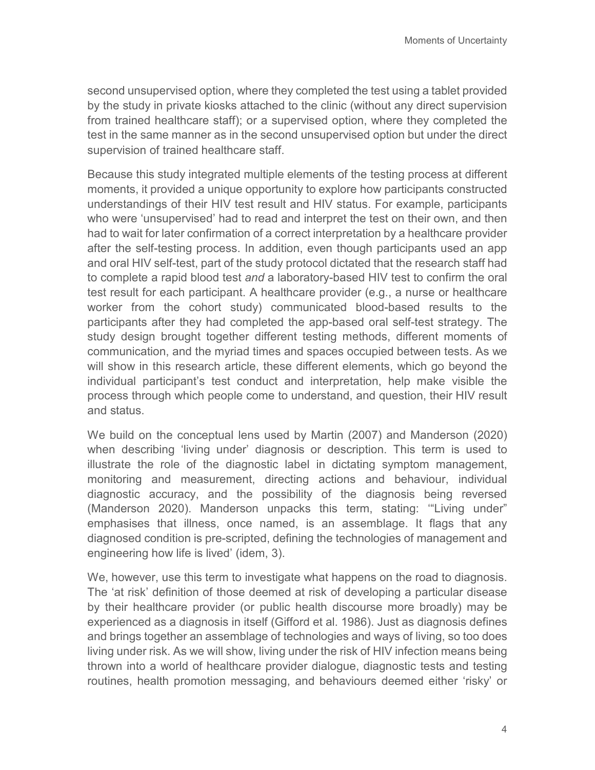second unsupervised option, where they completed the test using a tablet provided by the study in private kiosks attached to the clinic (without any direct supervision from trained healthcare staff); or a supervised option, where they completed the test in the same manner as in the second unsupervised option but under the direct supervision of trained healthcare staff.

Because this study integrated multiple elements of the testing process at different moments, it provided a unique opportunity to explore how participants constructed understandings of their HIV test result and HIV status. For example, participants who were 'unsupervised' had to read and interpret the test on their own, and then had to wait for later confirmation of a correct interpretation by a healthcare provider after the self-testing process. In addition, even though participants used an app and oral HIV self-test, part of the study protocol dictated that the research staff had to complete a rapid blood test *and* a laboratory-based HIV test to confirm the oral test result for each participant. A healthcare provider (e.g., a nurse or healthcare worker from the cohort study) communicated blood-based results to the participants after they had completed the app-based oral self-test strategy. The study design brought together different testing methods, different moments of communication, and the myriad times and spaces occupied between tests. As we will show in this research article, these different elements, which go beyond the individual participant's test conduct and interpretation, help make visible the process through which people come to understand, and question, their HIV result and status.

We build on the conceptual lens used by Martin (2007) and Manderson (2020) when describing 'living under' diagnosis or description. This term is used to illustrate the role of the diagnostic label in dictating symptom management, monitoring and measurement, directing actions and behaviour, individual diagnostic accuracy, and the possibility of the diagnosis being reversed (Manderson 2020). Manderson unpacks this term, stating: '"Living under" emphasises that illness, once named, is an assemblage. It flags that any diagnosed condition is pre-scripted, defining the technologies of management and engineering how life is lived' (idem, 3).

We, however, use this term to investigate what happens on the road to diagnosis. The 'at risk' definition of those deemed at risk of developing a particular disease by their healthcare provider (or public health discourse more broadly) may be experienced as a diagnosis in itself (Gifford et al. 1986). Just as diagnosis defines and brings together an assemblage of technologies and ways of living, so too does living under risk. As we will show, living under the risk of HIV infection means being thrown into a world of healthcare provider dialogue, diagnostic tests and testing routines, health promotion messaging, and behaviours deemed either 'risky' or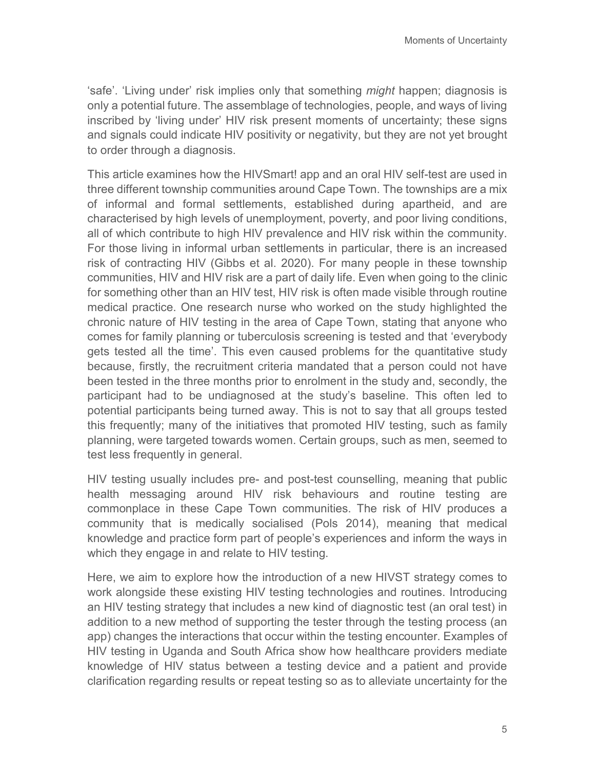'safe'. 'Living under' risk implies only that something *might* happen; diagnosis is only a potential future. The assemblage of technologies, people, and ways of living inscribed by 'living under' HIV risk present moments of uncertainty; these signs and signals could indicate HIV positivity or negativity, but they are not yet brought to order through a diagnosis.

This article examines how the HIVSmart! app and an oral HIV self-test are used in three different township communities around Cape Town. The townships are a mix of informal and formal settlements, established during apartheid, and are characterised by high levels of unemployment, poverty, and poor living conditions, all of which contribute to high HIV prevalence and HIV risk within the community. For those living in informal urban settlements in particular, there is an increased risk of contracting HIV (Gibbs et al. 2020). For many people in these township communities, HIV and HIV risk are a part of daily life. Even when going to the clinic for something other than an HIV test, HIV risk is often made visible through routine medical practice. One research nurse who worked on the study highlighted the chronic nature of HIV testing in the area of Cape Town, stating that anyone who comes for family planning or tuberculosis screening is tested and that 'everybody gets tested all the time'. This even caused problems for the quantitative study because, firstly, the recruitment criteria mandated that a person could not have been tested in the three months prior to enrolment in the study and, secondly, the participant had to be undiagnosed at the study's baseline. This often led to potential participants being turned away. This is not to say that all groups tested this frequently; many of the initiatives that promoted HIV testing, such as family planning, were targeted towards women. Certain groups, such as men, seemed to test less frequently in general.

HIV testing usually includes pre- and post-test counselling, meaning that public health messaging around HIV risk behaviours and routine testing are commonplace in these Cape Town communities. The risk of HIV produces a community that is medically socialised (Pols 2014), meaning that medical knowledge and practice form part of people's experiences and inform the ways in which they engage in and relate to HIV testing.

Here, we aim to explore how the introduction of a new HIVST strategy comes to work alongside these existing HIV testing technologies and routines. Introducing an HIV testing strategy that includes a new kind of diagnostic test (an oral test) in addition to a new method of supporting the tester through the testing process (an app) changes the interactions that occur within the testing encounter. Examples of HIV testing in Uganda and South Africa show how healthcare providers mediate knowledge of HIV status between a testing device and a patient and provide clarification regarding results or repeat testing so as to alleviate uncertainty for the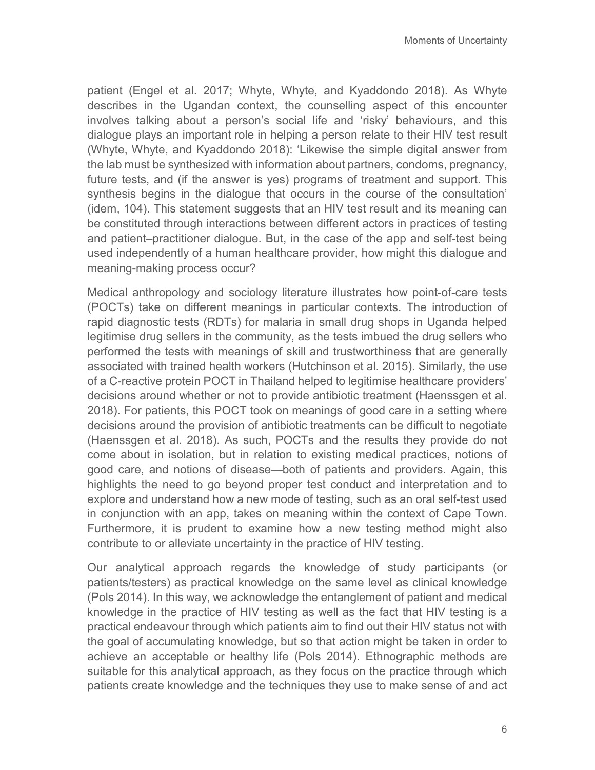patient (Engel et al. 2017; Whyte, Whyte, and Kyaddondo 2018). As Whyte describes in the Ugandan context, the counselling aspect of this encounter involves talking about a person's social life and 'risky' behaviours, and this dialogue plays an important role in helping a person relate to their HIV test result (Whyte, Whyte, and Kyaddondo 2018): 'Likewise the simple digital answer from the lab must be synthesized with information about partners, condoms, pregnancy, future tests, and (if the answer is yes) programs of treatment and support. This synthesis begins in the dialogue that occurs in the course of the consultation' (idem, 104). This statement suggests that an HIV test result and its meaning can be constituted through interactions between different actors in practices of testing and patient–practitioner dialogue. But, in the case of the app and self-test being used independently of a human healthcare provider, how might this dialogue and meaning-making process occur?

Medical anthropology and sociology literature illustrates how point-of-care tests (POCTs) take on different meanings in particular contexts. The introduction of rapid diagnostic tests (RDTs) for malaria in small drug shops in Uganda helped legitimise drug sellers in the community, as the tests imbued the drug sellers who performed the tests with meanings of skill and trustworthiness that are generally associated with trained health workers (Hutchinson et al. 2015). Similarly, the use of a C-reactive protein POCT in Thailand helped to legitimise healthcare providers' decisions around whether or not to provide antibiotic treatment (Haenssgen et al. 2018). For patients, this POCT took on meanings of good care in a setting where decisions around the provision of antibiotic treatments can be difficult to negotiate (Haenssgen et al. 2018). As such, POCTs and the results they provide do not come about in isolation, but in relation to existing medical practices, notions of good care, and notions of disease—both of patients and providers. Again, this highlights the need to go beyond proper test conduct and interpretation and to explore and understand how a new mode of testing, such as an oral self-test used in conjunction with an app, takes on meaning within the context of Cape Town. Furthermore, it is prudent to examine how a new testing method might also contribute to or alleviate uncertainty in the practice of HIV testing.

Our analytical approach regards the knowledge of study participants (or patients/testers) as practical knowledge on the same level as clinical knowledge (Pols 2014). In this way, we acknowledge the entanglement of patient and medical knowledge in the practice of HIV testing as well as the fact that HIV testing is a practical endeavour through which patients aim to find out their HIV status not with the goal of accumulating knowledge, but so that action might be taken in order to achieve an acceptable or healthy life (Pols 2014). Ethnographic methods are suitable for this analytical approach, as they focus on the practice through which patients create knowledge and the techniques they use to make sense of and act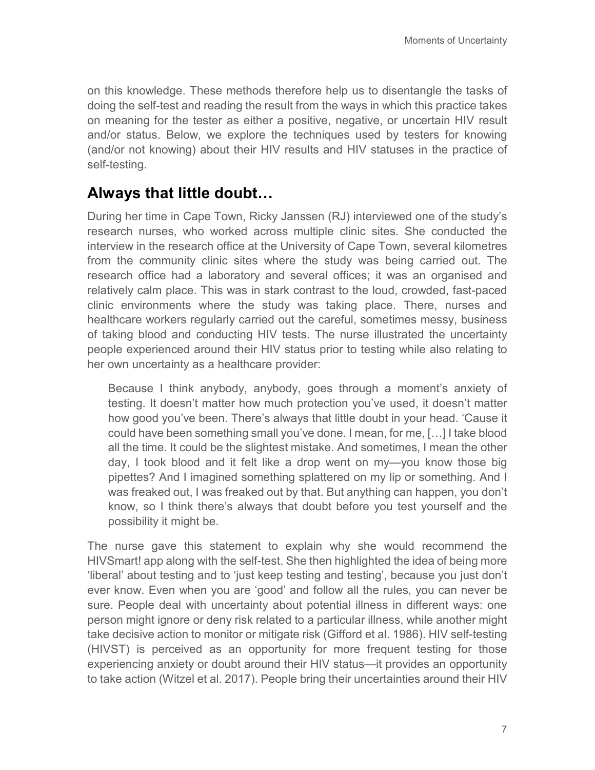on this knowledge. These methods therefore help us to disentangle the tasks of doing the self-test and reading the result from the ways in which this practice takes on meaning for the tester as either a positive, negative, or uncertain HIV result and/or status. Below, we explore the techniques used by testers for knowing (and/or not knowing) about their HIV results and HIV statuses in the practice of self-testing.

#### **Always that little doubt…**

During her time in Cape Town, Ricky Janssen (RJ) interviewed one of the study's research nurses, who worked across multiple clinic sites. She conducted the interview in the research office at the University of Cape Town, several kilometres from the community clinic sites where the study was being carried out. The research office had a laboratory and several offices; it was an organised and relatively calm place. This was in stark contrast to the loud, crowded, fast-paced clinic environments where the study was taking place. There, nurses and healthcare workers regularly carried out the careful, sometimes messy, business of taking blood and conducting HIV tests. The nurse illustrated the uncertainty people experienced around their HIV status prior to testing while also relating to her own uncertainty as a healthcare provider:

Because I think anybody, anybody, goes through a moment's anxiety of testing. It doesn't matter how much protection you've used, it doesn't matter how good you've been. There's always that little doubt in your head. 'Cause it could have been something small you've done. I mean, for me, […] I take blood all the time. It could be the slightest mistake. And sometimes, I mean the other day, I took blood and it felt like a drop went on my—you know those big pipettes? And I imagined something splattered on my lip or something. And I was freaked out, I was freaked out by that. But anything can happen, you don't know, so I think there's always that doubt before you test yourself and the possibility it might be.

The nurse gave this statement to explain why she would recommend the HIVSmart! app along with the self-test. She then highlighted the idea of being more 'liberal' about testing and to 'just keep testing and testing', because you just don't ever know. Even when you are 'good' and follow all the rules, you can never be sure. People deal with uncertainty about potential illness in different ways: one person might ignore or deny risk related to a particular illness, while another might take decisive action to monitor or mitigate risk (Gifford et al. 1986). HIV self-testing (HIVST) is perceived as an opportunity for more frequent testing for those experiencing anxiety or doubt around their HIV status—it provides an opportunity to take action (Witzel et al. 2017). People bring their uncertainties around their HIV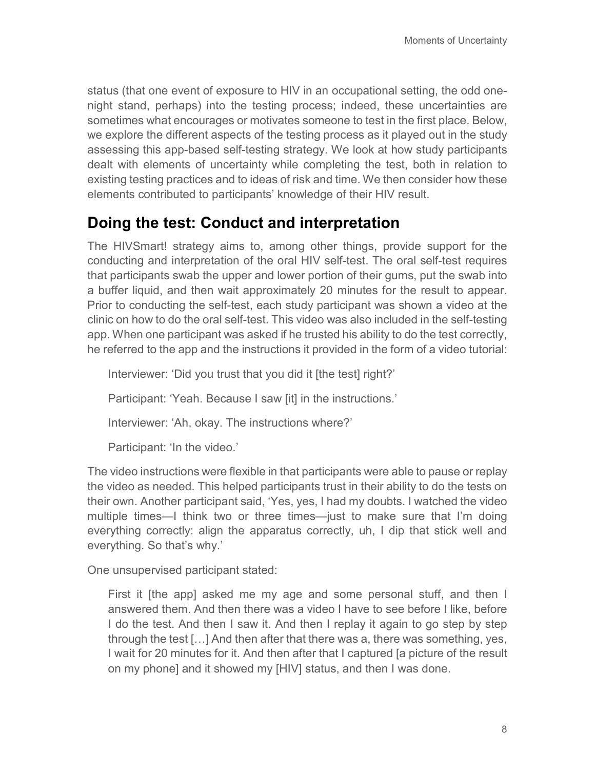status (that one event of exposure to HIV in an occupational setting, the odd onenight stand, perhaps) into the testing process; indeed, these uncertainties are sometimes what encourages or motivates someone to test in the first place. Below, we explore the different aspects of the testing process as it played out in the study assessing this app-based self-testing strategy. We look at how study participants dealt with elements of uncertainty while completing the test, both in relation to existing testing practices and to ideas of risk and time. We then consider how these elements contributed to participants' knowledge of their HIV result.

#### **Doing the test: Conduct and interpretation**

The HIVSmart! strategy aims to, among other things, provide support for the conducting and interpretation of the oral HIV self-test. The oral self-test requires that participants swab the upper and lower portion of their gums, put the swab into a buffer liquid, and then wait approximately 20 minutes for the result to appear. Prior to conducting the self-test, each study participant was shown a video at the clinic on how to do the oral self-test. This video was also included in the self-testing app. When one participant was asked if he trusted his ability to do the test correctly, he referred to the app and the instructions it provided in the form of a video tutorial:

Interviewer: 'Did you trust that you did it [the test] right?'

Participant: 'Yeah. Because I saw [it] in the instructions.'

Interviewer: 'Ah, okay. The instructions where?'

Participant: 'In the video.'

The video instructions were flexible in that participants were able to pause or replay the video as needed. This helped participants trust in their ability to do the tests on their own. Another participant said, 'Yes, yes, I had my doubts. I watched the video multiple times—I think two or three times—just to make sure that I'm doing everything correctly: align the apparatus correctly, uh, I dip that stick well and everything. So that's why.'

One unsupervised participant stated:

First it [the app] asked me my age and some personal stuff, and then I answered them. And then there was a video I have to see before I like, before I do the test. And then I saw it. And then I replay it again to go step by step through the test […] And then after that there was a, there was something, yes, I wait for 20 minutes for it. And then after that I captured [a picture of the result on my phone] and it showed my [HIV] status, and then I was done.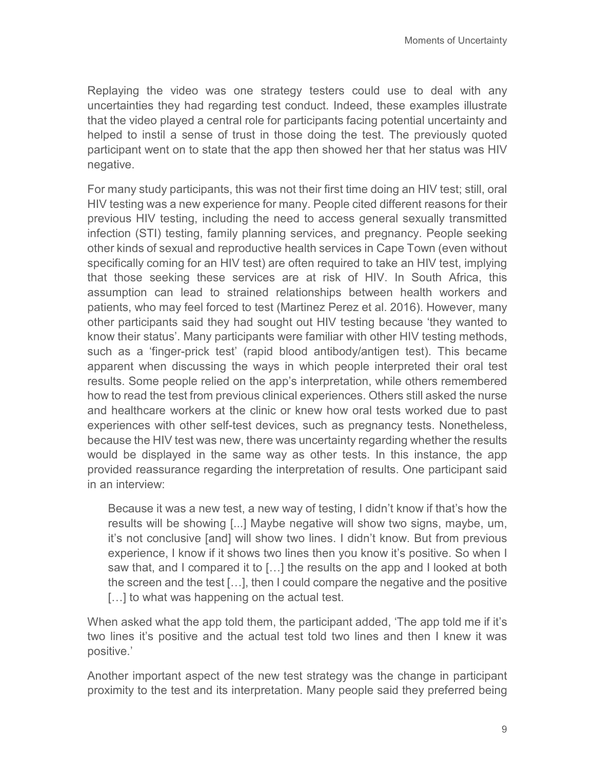Replaying the video was one strategy testers could use to deal with any uncertainties they had regarding test conduct. Indeed, these examples illustrate that the video played a central role for participants facing potential uncertainty and helped to instil a sense of trust in those doing the test. The previously quoted participant went on to state that the app then showed her that her status was HIV negative.

For many study participants, this was not their first time doing an HIV test; still, oral HIV testing was a new experience for many. People cited different reasons for their previous HIV testing, including the need to access general sexually transmitted infection (STI) testing, family planning services, and pregnancy. People seeking other kinds of sexual and reproductive health services in Cape Town (even without specifically coming for an HIV test) are often required to take an HIV test, implying that those seeking these services are at risk of HIV. In South Africa, this assumption can lead to strained relationships between health workers and patients, who may feel forced to test (Martinez Perez et al. 2016). However, many other participants said they had sought out HIV testing because 'they wanted to know their status'. Many participants were familiar with other HIV testing methods, such as a 'finger-prick test' (rapid blood antibody/antigen test). This became apparent when discussing the ways in which people interpreted their oral test results. Some people relied on the app's interpretation, while others remembered how to read the test from previous clinical experiences. Others still asked the nurse and healthcare workers at the clinic or knew how oral tests worked due to past experiences with other self-test devices, such as pregnancy tests. Nonetheless, because the HIV test was new, there was uncertainty regarding whether the results would be displayed in the same way as other tests. In this instance, the app provided reassurance regarding the interpretation of results. One participant said in an interview:

Because it was a new test, a new way of testing, I didn't know if that's how the results will be showing [...] Maybe negative will show two signs, maybe, um, it's not conclusive [and] will show two lines. I didn't know. But from previous experience, I know if it shows two lines then you know it's positive. So when I saw that, and I compared it to […] the results on the app and I looked at both the screen and the test […], then I could compare the negative and the positive [...] to what was happening on the actual test.

When asked what the app told them, the participant added, 'The app told me if it's two lines it's positive and the actual test told two lines and then I knew it was positive.'

Another important aspect of the new test strategy was the change in participant proximity to the test and its interpretation. Many people said they preferred being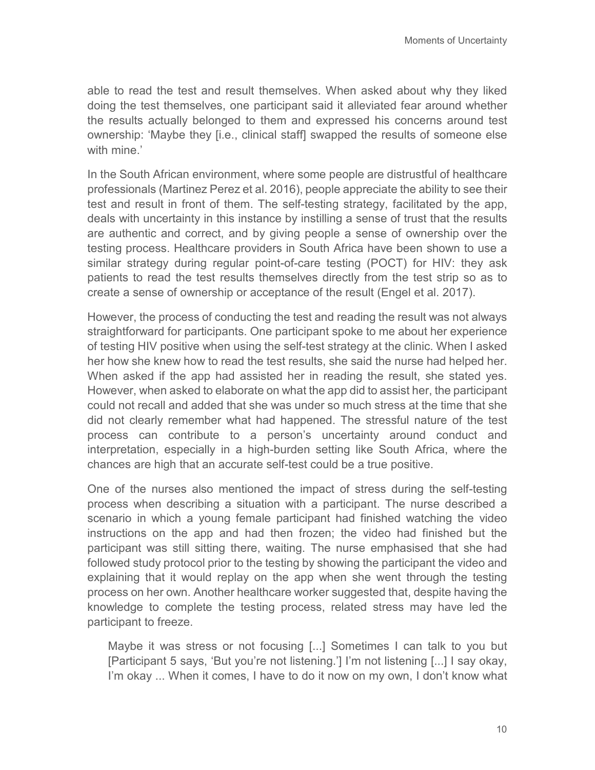able to read the test and result themselves. When asked about why they liked doing the test themselves, one participant said it alleviated fear around whether the results actually belonged to them and expressed his concerns around test ownership: 'Maybe they [i.e., clinical staff] swapped the results of someone else with mine.'

In the South African environment, where some people are distrustful of healthcare professionals (Martinez Perez et al. 2016), people appreciate the ability to see their test and result in front of them. The self-testing strategy, facilitated by the app, deals with uncertainty in this instance by instilling a sense of trust that the results are authentic and correct, and by giving people a sense of ownership over the testing process. Healthcare providers in South Africa have been shown to use a similar strategy during regular point-of-care testing (POCT) for HIV: they ask patients to read the test results themselves directly from the test strip so as to create a sense of ownership or acceptance of the result (Engel et al. 2017).

However, the process of conducting the test and reading the result was not always straightforward for participants. One participant spoke to me about her experience of testing HIV positive when using the self-test strategy at the clinic. When I asked her how she knew how to read the test results, she said the nurse had helped her. When asked if the app had assisted her in reading the result, she stated yes. However, when asked to elaborate on what the app did to assist her, the participant could not recall and added that she was under so much stress at the time that she did not clearly remember what had happened. The stressful nature of the test process can contribute to a person's uncertainty around conduct and interpretation, especially in a high-burden setting like South Africa, where the chances are high that an accurate self-test could be a true positive.

One of the nurses also mentioned the impact of stress during the self-testing process when describing a situation with a participant. The nurse described a scenario in which a young female participant had finished watching the video instructions on the app and had then frozen; the video had finished but the participant was still sitting there, waiting. The nurse emphasised that she had followed study protocol prior to the testing by showing the participant the video and explaining that it would replay on the app when she went through the testing process on her own. Another healthcare worker suggested that, despite having the knowledge to complete the testing process, related stress may have led the participant to freeze.

Maybe it was stress or not focusing [...] Sometimes I can talk to you but [Participant 5 says, 'But you're not listening.'] I'm not listening [...] I say okay, I'm okay ... When it comes, I have to do it now on my own, I don't know what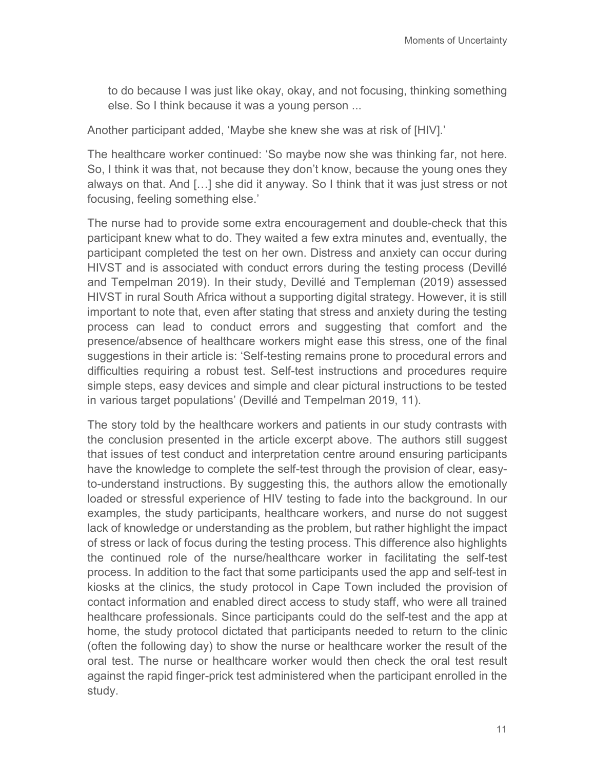to do because I was just like okay, okay, and not focusing, thinking something else. So I think because it was a young person ...

Another participant added, 'Maybe she knew she was at risk of [HIV].'

The healthcare worker continued: 'So maybe now she was thinking far, not here. So, I think it was that, not because they don't know, because the young ones they always on that. And […] she did it anyway. So I think that it was just stress or not focusing, feeling something else.'

The nurse had to provide some extra encouragement and double-check that this participant knew what to do. They waited a few extra minutes and, eventually, the participant completed the test on her own. Distress and anxiety can occur during HIVST and is associated with conduct errors during the testing process (Devillé and Tempelman 2019). In their study, Devillé and Templeman (2019) assessed HIVST in rural South Africa without a supporting digital strategy. However, it is still important to note that, even after stating that stress and anxiety during the testing process can lead to conduct errors and suggesting that comfort and the presence/absence of healthcare workers might ease this stress, one of the final suggestions in their article is: 'Self-testing remains prone to procedural errors and difficulties requiring a robust test. Self-test instructions and procedures require simple steps, easy devices and simple and clear pictural instructions to be tested in various target populations' (Devillé and Tempelman 2019, 11).

The story told by the healthcare workers and patients in our study contrasts with the conclusion presented in the article excerpt above. The authors still suggest that issues of test conduct and interpretation centre around ensuring participants have the knowledge to complete the self-test through the provision of clear, easyto-understand instructions. By suggesting this, the authors allow the emotionally loaded or stressful experience of HIV testing to fade into the background. In our examples, the study participants, healthcare workers, and nurse do not suggest lack of knowledge or understanding as the problem, but rather highlight the impact of stress or lack of focus during the testing process. This difference also highlights the continued role of the nurse/healthcare worker in facilitating the self-test process. In addition to the fact that some participants used the app and self-test in kiosks at the clinics, the study protocol in Cape Town included the provision of contact information and enabled direct access to study staff, who were all trained healthcare professionals. Since participants could do the self-test and the app at home, the study protocol dictated that participants needed to return to the clinic (often the following day) to show the nurse or healthcare worker the result of the oral test. The nurse or healthcare worker would then check the oral test result against the rapid finger-prick test administered when the participant enrolled in the study.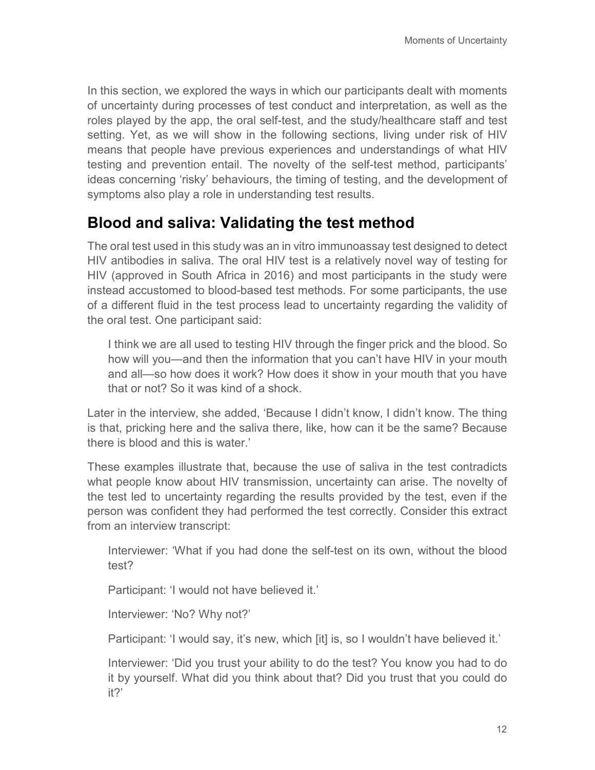In this section, we explored the ways in which our participants dealt with moments of uncertainty during processes of test conduct and interpretation, as well as the roles played by the app, the oral self-test, and the study/healthcare staff and test setting. Yet, as we will show in the following sections, living under risk of HIV means that people have previous experiences and understandings of what HIV testing and prevention entail. The novelty of the self-test method, participants' ideas concerning 'risky' behaviours, the timing of testing, and the development of symptoms also play a role in understanding test results.

#### **Blood and saliva: Validating the test method**

The oral test used in this study was an in vitro immunoassay test designed to detect HIV antibodies in saliva. The oral HIV test is a relatively novel way of testing for HIV (approved in South Africa in 2016) and most participants in the study were instead accustomed to blood-based test methods. For some participants, the use of a different fluid in the test process lead to uncertainty regarding the validity of the oral test. One participant said:

I think we are all used to testing HIV through the finger prick and the blood. So how will you—and then the information that you can't have HIV in your mouth and all—so how does it work? How does it show in your mouth that you have that or not? So it was kind of a shock.

Later in the interview, she added, 'Because I didn't know, I didn't know. The thing is that, pricking here and the saliva there, like, how can it be the same? Because there is blood and this is water.'

These examples illustrate that, because the use of saliva in the test contradicts what people know about HIV transmission, uncertainty can arise. The novelty of the test led to uncertainty regarding the results provided by the test, even if the person was confident they had performed the test correctly. Consider this extract from an interview transcript:

Interviewer: 'What if you had done the self-test on its own, without the blood test?

Participant: 'I would not have believed it.'

Interviewer: 'No? Why not?'

Participant: 'I would say, it's new, which [it] is, so I wouldn't have believed it.'

Interviewer: 'Did you trust your ability to do the test? You know you had to do it by yourself. What did you think about that? Did you trust that you could do it?'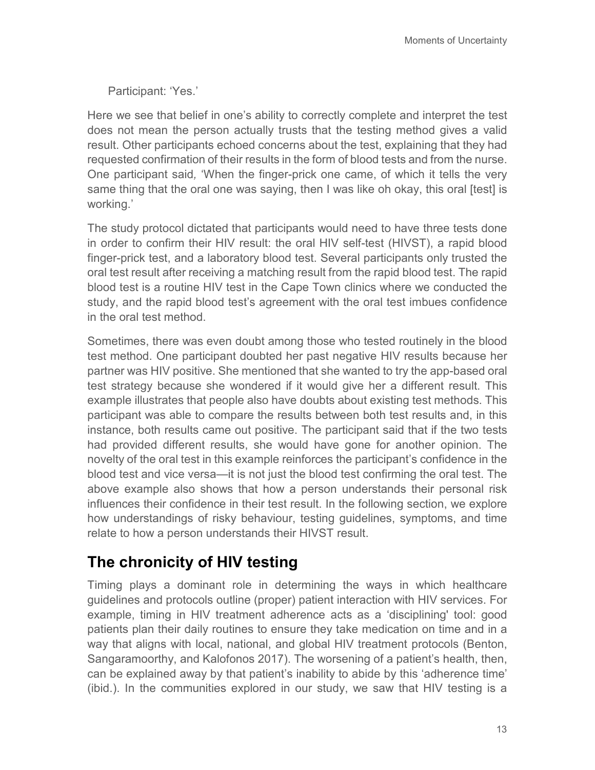Participant: 'Yes.'

Here we see that belief in one's ability to correctly complete and interpret the test does not mean the person actually trusts that the testing method gives a valid result. Other participants echoed concerns about the test, explaining that they had requested confirmation of their results in the form of blood tests and from the nurse. One participant said*,* 'When the finger-prick one came, of which it tells the very same thing that the oral one was saying, then I was like oh okay, this oral [test] is working.'

The study protocol dictated that participants would need to have three tests done in order to confirm their HIV result: the oral HIV self-test (HIVST), a rapid blood finger-prick test, and a laboratory blood test. Several participants only trusted the oral test result after receiving a matching result from the rapid blood test. The rapid blood test is a routine HIV test in the Cape Town clinics where we conducted the study, and the rapid blood test's agreement with the oral test imbues confidence in the oral test method.

Sometimes, there was even doubt among those who tested routinely in the blood test method. One participant doubted her past negative HIV results because her partner was HIV positive. She mentioned that she wanted to try the app-based oral test strategy because she wondered if it would give her a different result. This example illustrates that people also have doubts about existing test methods. This participant was able to compare the results between both test results and, in this instance, both results came out positive. The participant said that if the two tests had provided different results, she would have gone for another opinion. The novelty of the oral test in this example reinforces the participant's confidence in the blood test and vice versa—it is not just the blood test confirming the oral test. The above example also shows that how a person understands their personal risk influences their confidence in their test result. In the following section, we explore how understandings of risky behaviour, testing guidelines, symptoms, and time relate to how a person understands their HIVST result.

## **The chronicity of HIV testing**

Timing plays a dominant role in determining the ways in which healthcare guidelines and protocols outline (proper) patient interaction with HIV services. For example, timing in HIV treatment adherence acts as a 'disciplining' tool: good patients plan their daily routines to ensure they take medication on time and in a way that aligns with local, national, and global HIV treatment protocols (Benton, Sangaramoorthy, and Kalofonos 2017). The worsening of a patient's health, then, can be explained away by that patient's inability to abide by this 'adherence time' (ibid.). In the communities explored in our study, we saw that HIV testing is a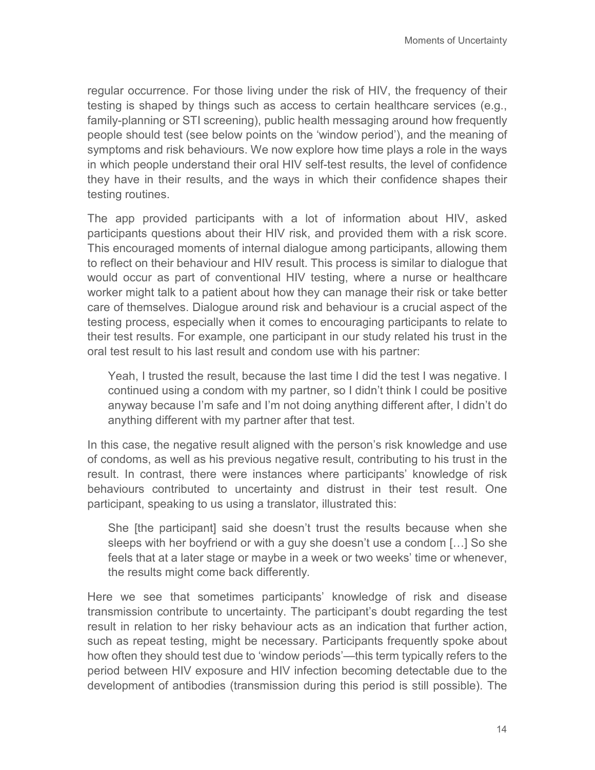regular occurrence. For those living under the risk of HIV, the frequency of their testing is shaped by things such as access to certain healthcare services (e.g., family-planning or STI screening), public health messaging around how frequently people should test (see below points on the 'window period'), and the meaning of symptoms and risk behaviours. We now explore how time plays a role in the ways in which people understand their oral HIV self-test results, the level of confidence they have in their results, and the ways in which their confidence shapes their testing routines.

The app provided participants with a lot of information about HIV, asked participants questions about their HIV risk, and provided them with a risk score. This encouraged moments of internal dialogue among participants, allowing them to reflect on their behaviour and HIV result. This process is similar to dialogue that would occur as part of conventional HIV testing, where a nurse or healthcare worker might talk to a patient about how they can manage their risk or take better care of themselves. Dialogue around risk and behaviour is a crucial aspect of the testing process, especially when it comes to encouraging participants to relate to their test results. For example, one participant in our study related his trust in the oral test result to his last result and condom use with his partner:

Yeah, I trusted the result, because the last time I did the test I was negative. I continued using a condom with my partner, so I didn't think I could be positive anyway because I'm safe and I'm not doing anything different after, I didn't do anything different with my partner after that test.

In this case, the negative result aligned with the person's risk knowledge and use of condoms, as well as his previous negative result, contributing to his trust in the result. In contrast, there were instances where participants' knowledge of risk behaviours contributed to uncertainty and distrust in their test result. One participant, speaking to us using a translator, illustrated this:

She [the participant] said she doesn't trust the results because when she sleeps with her boyfriend or with a guy she doesn't use a condom […] So she feels that at a later stage or maybe in a week or two weeks' time or whenever, the results might come back differently*.*

Here we see that sometimes participants' knowledge of risk and disease transmission contribute to uncertainty. The participant's doubt regarding the test result in relation to her risky behaviour acts as an indication that further action, such as repeat testing, might be necessary. Participants frequently spoke about how often they should test due to 'window periods'—this term typically refers to the period between HIV exposure and HIV infection becoming detectable due to the development of antibodies (transmission during this period is still possible). The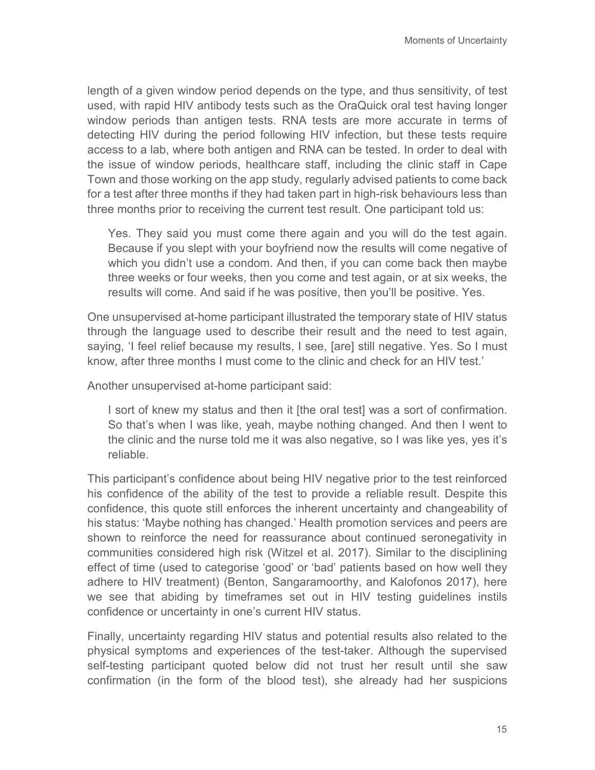length of a given window period depends on the type, and thus sensitivity, of test used, with rapid HIV antibody tests such as the OraQuick oral test having longer window periods than antigen tests. RNA tests are more accurate in terms of detecting HIV during the period following HIV infection, but these tests require access to a lab, where both antigen and RNA can be tested. In order to deal with the issue of window periods, healthcare staff, including the clinic staff in Cape Town and those working on the app study, regularly advised patients to come back for a test after three months if they had taken part in high-risk behaviours less than three months prior to receiving the current test result. One participant told us:

Yes. They said you must come there again and you will do the test again. Because if you slept with your boyfriend now the results will come negative of which you didn't use a condom. And then, if you can come back then maybe three weeks or four weeks, then you come and test again, or at six weeks, the results will come. And said if he was positive, then you'll be positive. Yes.

One unsupervised at-home participant illustrated the temporary state of HIV status through the language used to describe their result and the need to test again, saying, 'I feel relief because my results, I see, [are] still negative. Yes. So I must know, after three months I must come to the clinic and check for an HIV test.'

Another unsupervised at-home participant said:

I sort of knew my status and then it [the oral test] was a sort of confirmation. So that's when I was like, yeah, maybe nothing changed. And then I went to the clinic and the nurse told me it was also negative, so I was like yes, yes it's reliable.

This participant's confidence about being HIV negative prior to the test reinforced his confidence of the ability of the test to provide a reliable result. Despite this confidence, this quote still enforces the inherent uncertainty and changeability of his status: 'Maybe nothing has changed.' Health promotion services and peers are shown to reinforce the need for reassurance about continued seronegativity in communities considered high risk (Witzel et al. 2017). Similar to the disciplining effect of time (used to categorise 'good' or 'bad' patients based on how well they adhere to HIV treatment) (Benton, Sangaramoorthy, and Kalofonos 2017), here we see that abiding by timeframes set out in HIV testing guidelines instils confidence or uncertainty in one's current HIV status.

Finally, uncertainty regarding HIV status and potential results also related to the physical symptoms and experiences of the test-taker. Although the supervised self-testing participant quoted below did not trust her result until she saw confirmation (in the form of the blood test), she already had her suspicions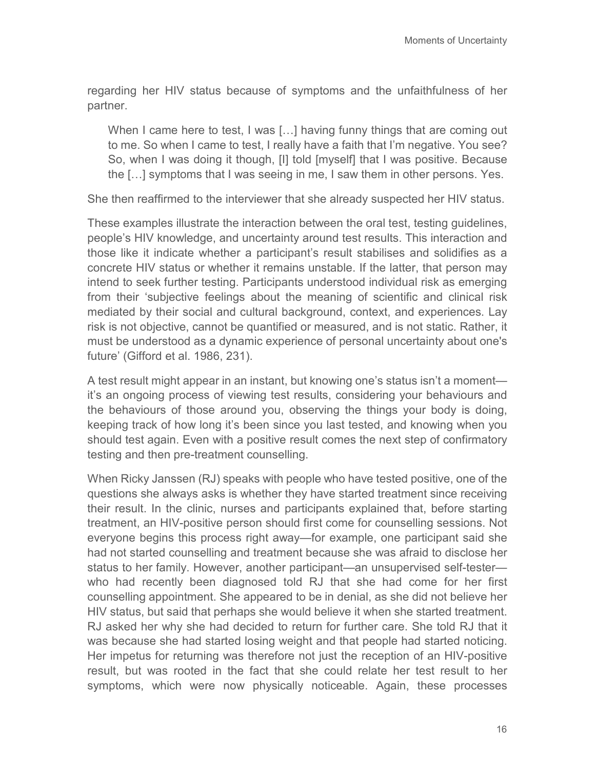regarding her HIV status because of symptoms and the unfaithfulness of her partner.

When I came here to test, I was [...] having funny things that are coming out to me. So when I came to test, I really have a faith that I'm negative. You see? So, when I was doing it though, [I] told [myself] that I was positive. Because the […] symptoms that I was seeing in me, I saw them in other persons. Yes.

She then reaffirmed to the interviewer that she already suspected her HIV status.

These examples illustrate the interaction between the oral test, testing guidelines, people's HIV knowledge, and uncertainty around test results. This interaction and those like it indicate whether a participant's result stabilises and solidifies as a concrete HIV status or whether it remains unstable. If the latter, that person may intend to seek further testing. Participants understood individual risk as emerging from their 'subjective feelings about the meaning of scientific and clinical risk mediated by their social and cultural background, context, and experiences. Lay risk is not objective, cannot be quantified or measured, and is not static. Rather, it must be understood as a dynamic experience of personal uncertainty about one's future' (Gifford et al. 1986, 231).

A test result might appear in an instant, but knowing one's status isn't a moment it's an ongoing process of viewing test results, considering your behaviours and the behaviours of those around you, observing the things your body is doing, keeping track of how long it's been since you last tested, and knowing when you should test again. Even with a positive result comes the next step of confirmatory testing and then pre-treatment counselling.

When Ricky Janssen (RJ) speaks with people who have tested positive, one of the questions she always asks is whether they have started treatment since receiving their result. In the clinic, nurses and participants explained that, before starting treatment, an HIV-positive person should first come for counselling sessions. Not everyone begins this process right away—for example, one participant said she had not started counselling and treatment because she was afraid to disclose her status to her family. However, another participant—an unsupervised self-tester who had recently been diagnosed told RJ that she had come for her first counselling appointment. She appeared to be in denial, as she did not believe her HIV status, but said that perhaps she would believe it when she started treatment. RJ asked her why she had decided to return for further care. She told RJ that it was because she had started losing weight and that people had started noticing. Her impetus for returning was therefore not just the reception of an HIV-positive result, but was rooted in the fact that she could relate her test result to her symptoms, which were now physically noticeable. Again, these processes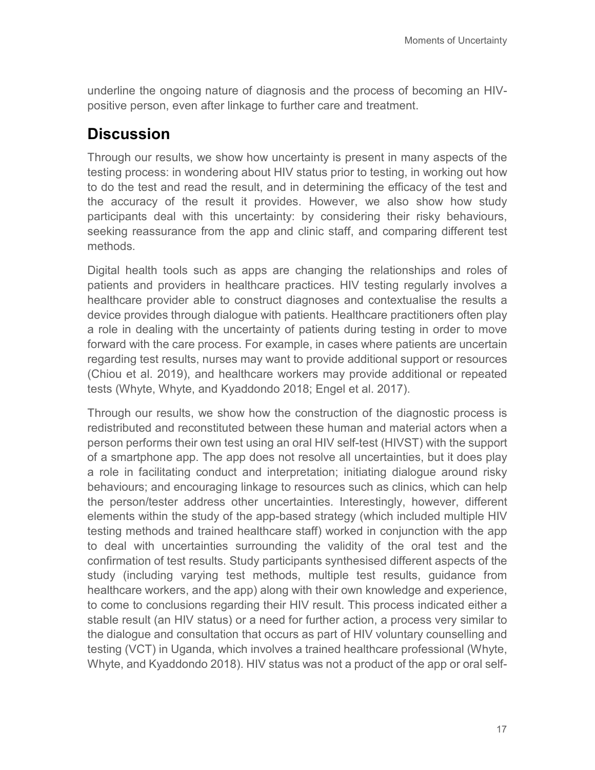underline the ongoing nature of diagnosis and the process of becoming an HIVpositive person, even after linkage to further care and treatment.

#### **Discussion**

Through our results, we show how uncertainty is present in many aspects of the testing process: in wondering about HIV status prior to testing, in working out how to do the test and read the result, and in determining the efficacy of the test and the accuracy of the result it provides. However, we also show how study participants deal with this uncertainty: by considering their risky behaviours, seeking reassurance from the app and clinic staff, and comparing different test methods.

Digital health tools such as apps are changing the relationships and roles of patients and providers in healthcare practices. HIV testing regularly involves a healthcare provider able to construct diagnoses and contextualise the results a device provides through dialogue with patients. Healthcare practitioners often play a role in dealing with the uncertainty of patients during testing in order to move forward with the care process. For example, in cases where patients are uncertain regarding test results, nurses may want to provide additional support or resources (Chiou et al. 2019), and healthcare workers may provide additional or repeated tests (Whyte, Whyte, and Kyaddondo 2018; Engel et al. 2017).

Through our results, we show how the construction of the diagnostic process is redistributed and reconstituted between these human and material actors when a person performs their own test using an oral HIV self-test (HIVST) with the support of a smartphone app. The app does not resolve all uncertainties, but it does play a role in facilitating conduct and interpretation; initiating dialogue around risky behaviours; and encouraging linkage to resources such as clinics, which can help the person/tester address other uncertainties. Interestingly, however, different elements within the study of the app-based strategy (which included multiple HIV testing methods and trained healthcare staff) worked in conjunction with the app to deal with uncertainties surrounding the validity of the oral test and the confirmation of test results. Study participants synthesised different aspects of the study (including varying test methods, multiple test results, guidance from healthcare workers, and the app) along with their own knowledge and experience, to come to conclusions regarding their HIV result. This process indicated either a stable result (an HIV status) or a need for further action, a process very similar to the dialogue and consultation that occurs as part of HIV voluntary counselling and testing (VCT) in Uganda, which involves a trained healthcare professional (Whyte, Whyte, and Kyaddondo 2018). HIV status was not a product of the app or oral self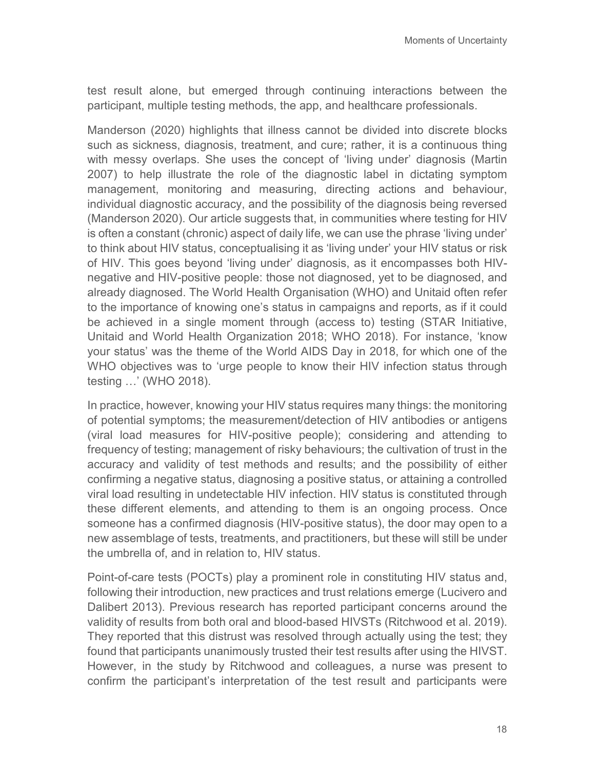test result alone, but emerged through continuing interactions between the participant, multiple testing methods, the app, and healthcare professionals.

Manderson (2020) highlights that illness cannot be divided into discrete blocks such as sickness, diagnosis, treatment, and cure; rather, it is a continuous thing with messy overlaps. She uses the concept of 'living under' diagnosis (Martin 2007) to help illustrate the role of the diagnostic label in dictating symptom management, monitoring and measuring, directing actions and behaviour, individual diagnostic accuracy, and the possibility of the diagnosis being reversed (Manderson 2020). Our article suggests that, in communities where testing for HIV is often a constant (chronic) aspect of daily life, we can use the phrase 'living under' to think about HIV status, conceptualising it as 'living under' your HIV status or risk of HIV. This goes beyond 'living under' diagnosis, as it encompasses both HIVnegative and HIV-positive people: those not diagnosed, yet to be diagnosed, and already diagnosed. The World Health Organisation (WHO) and Unitaid often refer to the importance of knowing one's status in campaigns and reports, as if it could be achieved in a single moment through (access to) testing (STAR Initiative, Unitaid and World Health Organization 2018; WHO 2018). For instance, 'know your status' was the theme of the World AIDS Day in 2018, for which one of the WHO objectives was to 'urge people to know their HIV infection status through testing …' (WHO 2018).

In practice, however, knowing your HIV status requires many things: the monitoring of potential symptoms; the measurement/detection of HIV antibodies or antigens (viral load measures for HIV-positive people); considering and attending to frequency of testing; management of risky behaviours; the cultivation of trust in the accuracy and validity of test methods and results; and the possibility of either confirming a negative status, diagnosing a positive status, or attaining a controlled viral load resulting in undetectable HIV infection. HIV status is constituted through these different elements, and attending to them is an ongoing process. Once someone has a confirmed diagnosis (HIV-positive status), the door may open to a new assemblage of tests, treatments, and practitioners, but these will still be under the umbrella of, and in relation to, HIV status.

Point-of-care tests (POCTs) play a prominent role in constituting HIV status and, following their introduction, new practices and trust relations emerge (Lucivero and Dalibert 2013). Previous research has reported participant concerns around the validity of results from both oral and blood-based HIVSTs (Ritchwood et al. 2019). They reported that this distrust was resolved through actually using the test; they found that participants unanimously trusted their test results after using the HIVST. However, in the study by Ritchwood and colleagues, a nurse was present to confirm the participant's interpretation of the test result and participants were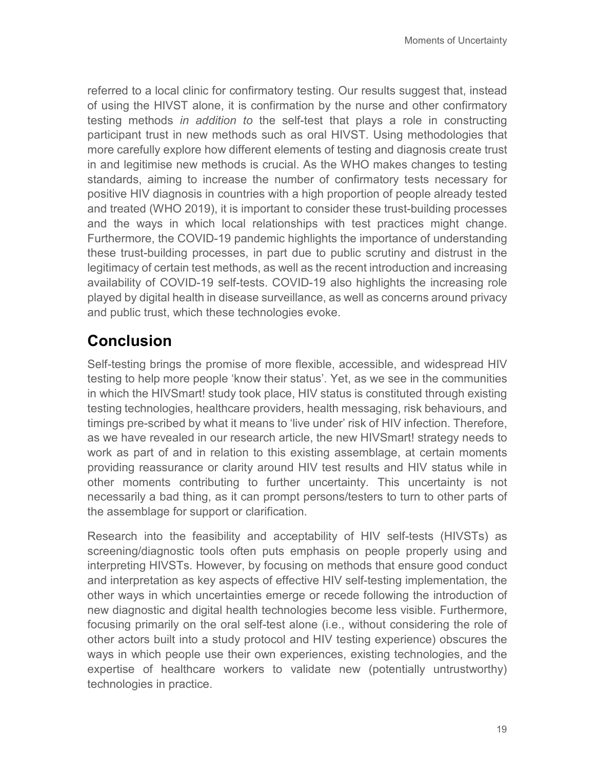referred to a local clinic for confirmatory testing. Our results suggest that, instead of using the HIVST alone, it is confirmation by the nurse and other confirmatory testing methods *in addition to* the self-test that plays a role in constructing participant trust in new methods such as oral HIVST. Using methodologies that more carefully explore how different elements of testing and diagnosis create trust in and legitimise new methods is crucial. As the WHO makes changes to testing standards, aiming to increase the number of confirmatory tests necessary for positive HIV diagnosis in countries with a high proportion of people already tested and treated (WHO 2019), it is important to consider these trust-building processes and the ways in which local relationships with test practices might change. Furthermore, the COVID-19 pandemic highlights the importance of understanding these trust-building processes, in part due to public scrutiny and distrust in the legitimacy of certain test methods, as well as the recent introduction and increasing availability of COVID-19 self-tests. COVID-19 also highlights the increasing role played by digital health in disease surveillance, as well as concerns around privacy and public trust, which these technologies evoke.

## **Conclusion**

Self-testing brings the promise of more flexible, accessible, and widespread HIV testing to help more people 'know their status'. Yet, as we see in the communities in which the HIVSmart! study took place, HIV status is constituted through existing testing technologies, healthcare providers, health messaging, risk behaviours, and timings pre-scribed by what it means to 'live under' risk of HIV infection. Therefore, as we have revealed in our research article, the new HIVSmart! strategy needs to work as part of and in relation to this existing assemblage, at certain moments providing reassurance or clarity around HIV test results and HIV status while in other moments contributing to further uncertainty. This uncertainty is not necessarily a bad thing, as it can prompt persons/testers to turn to other parts of the assemblage for support or clarification.

Research into the feasibility and acceptability of HIV self-tests (HIVSTs) as screening/diagnostic tools often puts emphasis on people properly using and interpreting HIVSTs. However, by focusing on methods that ensure good conduct and interpretation as key aspects of effective HIV self-testing implementation, the other ways in which uncertainties emerge or recede following the introduction of new diagnostic and digital health technologies become less visible. Furthermore, focusing primarily on the oral self-test alone (i.e., without considering the role of other actors built into a study protocol and HIV testing experience) obscures the ways in which people use their own experiences, existing technologies, and the expertise of healthcare workers to validate new (potentially untrustworthy) technologies in practice.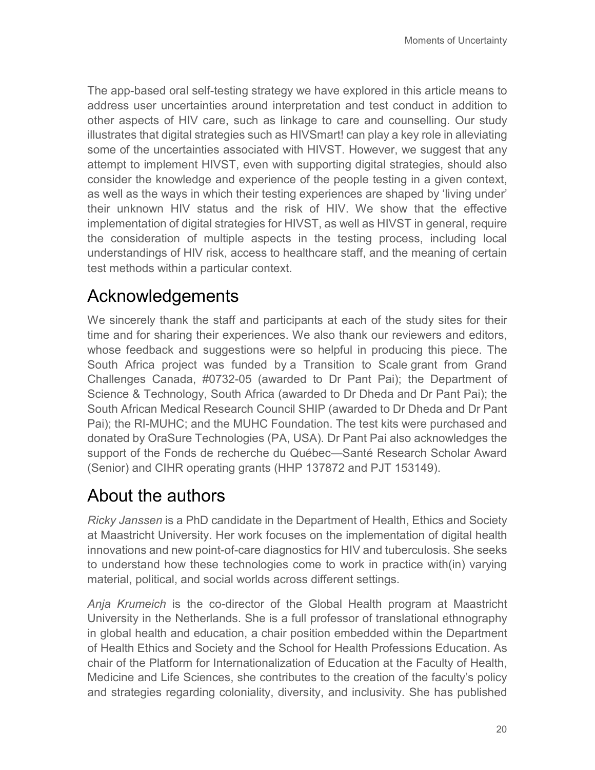The app-based oral self-testing strategy we have explored in this article means to address user uncertainties around interpretation and test conduct in addition to other aspects of HIV care, such as linkage to care and counselling. Our study illustrates that digital strategies such as HIVSmart! can play a key role in alleviating some of the uncertainties associated with HIVST. However, we suggest that any attempt to implement HIVST, even with supporting digital strategies, should also consider the knowledge and experience of the people testing in a given context, as well as the ways in which their testing experiences are shaped by 'living under' their unknown HIV status and the risk of HIV. We show that the effective implementation of digital strategies for HIVST, as well as HIVST in general, require the consideration of multiple aspects in the testing process, including local understandings of HIV risk, access to healthcare staff, and the meaning of certain test methods within a particular context.

# Acknowledgements

We sincerely thank the staff and participants at each of the study sites for their time and for sharing their experiences. We also thank our reviewers and editors, whose feedback and suggestions were so helpful in producing this piece. The South Africa project was funded by a Transition to Scale grant from Grand Challenges Canada, #0732-05 (awarded to Dr Pant Pai); the Department of Science & Technology, South Africa (awarded to Dr Dheda and Dr Pant Pai); the South African Medical Research Council SHIP (awarded to Dr Dheda and Dr Pant Pai); the RI-MUHC; and the MUHC Foundation. The test kits were purchased and donated by OraSure Technologies (PA, USA). Dr Pant Pai also acknowledges the support of the Fonds de recherche du Québec—Santé Research Scholar Award (Senior) and CIHR operating grants (HHP 137872 and PJT 153149).

# About the authors

*Ricky Janssen* is a PhD candidate in the Department of Health, Ethics and Society at Maastricht University. Her work focuses on the implementation of digital health innovations and new point-of-care diagnostics for HIV and tuberculosis. She seeks to understand how these technologies come to work in practice with(in) varying material, political, and social worlds across different settings.

*Anja Krumeich* is the co-director of the Global Health program at Maastricht University in the Netherlands. She is a full professor of translational ethnography in global health and education, a chair position embedded within the Department of Health Ethics and Society and the School for Health Professions Education. As chair of the Platform for Internationalization of Education at the Faculty of Health, Medicine and Life Sciences, she contributes to the creation of the faculty's policy and strategies regarding coloniality, diversity, and inclusivity. She has published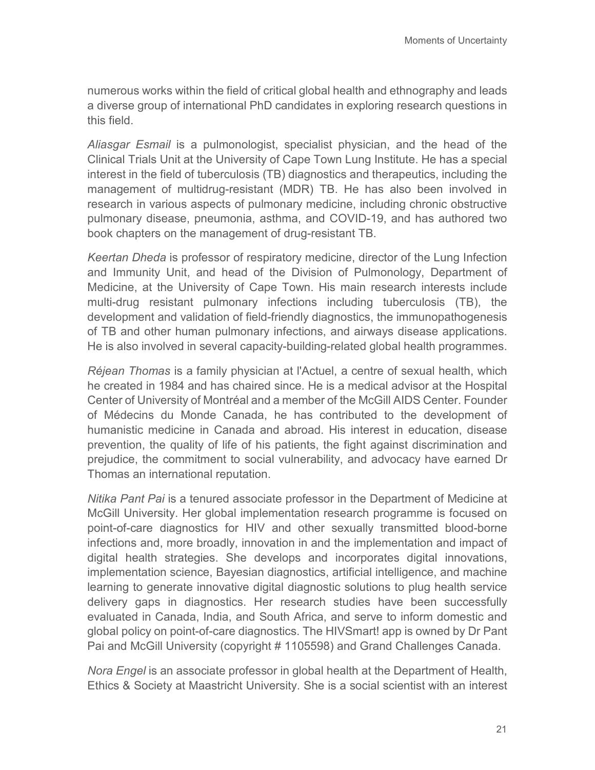numerous works within the field of critical global health and ethnography and leads a diverse group of international PhD candidates in exploring research questions in this field.

*Aliasgar Esmail* is a pulmonologist, specialist physician, and the head of the Clinical Trials Unit at the University of Cape Town Lung Institute. He has a special interest in the field of tuberculosis (TB) diagnostics and therapeutics, including the management of multidrug-resistant (MDR) TB. He has also been involved in research in various aspects of pulmonary medicine, including chronic obstructive pulmonary disease, pneumonia, asthma, and COVID-19, and has authored two book chapters on the management of drug-resistant TB.

*Keertan Dheda* is professor of respiratory medicine, director of the Lung Infection and Immunity Unit, and head of the Division of Pulmonology, Department of Medicine, at the University of Cape Town. His main research interests include multi-drug resistant pulmonary infections including tuberculosis (TB), the development and validation of field-friendly diagnostics, the immunopathogenesis of TB and other human pulmonary infections, and airways disease applications. He is also involved in several capacity-building-related global health programmes.

*Réjean Thomas* is a family physician at l'Actuel, a centre of sexual health, which he created in 1984 and has chaired since. He is a medical advisor at the Hospital Center of University of Montréal and a member of the McGill AIDS Center. Founder of Médecins du Monde Canada, he has contributed to the development of humanistic medicine in Canada and abroad. His interest in education, disease prevention, the quality of life of his patients, the fight against discrimination and prejudice, the commitment to social vulnerability, and advocacy have earned Dr Thomas an international reputation.

*Nitika Pant Pai* is a tenured associate professor in the Department of Medicine at McGill University. Her global implementation research programme is focused on point-of-care diagnostics for HIV and other sexually transmitted blood-borne infections and, more broadly, innovation in and the implementation and impact of digital health strategies. She develops and incorporates digital innovations, implementation science, Bayesian diagnostics, artificial intelligence, and machine learning to generate innovative digital diagnostic solutions to plug health service delivery gaps in diagnostics. Her research studies have been successfully evaluated in Canada, India, and South Africa, and serve to inform domestic and global policy on point-of-care diagnostics. The HIVSmart! app is owned by Dr Pant Pai and McGill University (copyright # 1105598) and Grand Challenges Canada.

*Nora Engel* is an associate professor in global health at the Department of Health, Ethics & Society at Maastricht University. She is a social scientist with an interest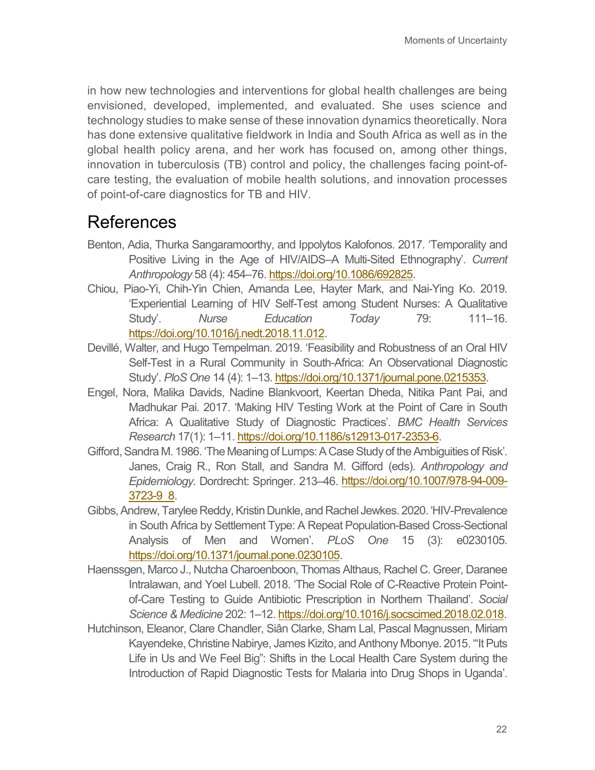in how new technologies and interventions for global health challenges are being envisioned, developed, implemented, and evaluated. She uses science and technology studies to make sense of these innovation dynamics theoretically. Nora has done extensive qualitative fieldwork in India and South Africa as well as in the global health policy arena, and her work has focused on, among other things, innovation in tuberculosis (TB) control and policy, the challenges facing point-ofcare testing, the evaluation of mobile health solutions, and innovation processes of point-of-care diagnostics for TB and HIV.

### References

- Benton, Adia, Thurka Sangaramoorthy, and Ippolytos Kalofonos. 2017. 'Temporality and Positive Living in the Age of HIV/AIDS–A Multi-Sited Ethnography'. *Current Anthropology* 58 (4): 454–76. [https://doi.org/10.1086/692825.](https://doi.org/10.1086/692825)
- Chiou, Piao-Yi, Chih-Yin Chien, Amanda Lee, Hayter Mark, and Nai-Ying Ko. 2019. 'Experiential Learning of HIV Self-Test among Student Nurses: A Qualitative Study'. *Nurse Education Today* 79: 111–16. [https://doi.org/10.1016/j.nedt.2018.11.012.](https://doi.org/10.1016/j.nedt.2018.11.012)
- Devillé, Walter, and Hugo Tempelman. 2019. 'Feasibility and Robustness of an Oral HIV Self-Test in a Rural Community in South-Africa: An Observational Diagnostic Study'. *PloS One* 14 (4): 1–13. [https://doi.org/10.1371/journal.pone.0215353.](https://doi.org/10.1371/journal.pone.0215353)
- Engel, Nora, Malika Davids, Nadine Blankvoort, Keertan Dheda, Nitika Pant Pai, and Madhukar Pai. 2017. 'Making HIV Testing Work at the Point of Care in South Africa: A Qualitative Study of Diagnostic Practices'. *BMC Health Services Research* 17(1): 1–11[. https://doi.org/10.1186/s12913-017-2353-6.](https://doi.org/10.1186/s12913-017-2353-6)
- Gifford, Sandra M. 1986. 'The Meaning of Lumps: A Case Study of the Ambiguities of Risk'. Janes, Craig R., Ron Stall, and Sandra M. Gifford (eds). *Anthropology and Epidemiology.* Dordrecht: Springer. 213–46. [https://doi.org/10.1007/978-94-009-](https://doi.org/10.1007/978-94-009-3723-9_8) [3723-9\\_8.](https://doi.org/10.1007/978-94-009-3723-9_8)
- Gibbs, Andrew, Tarylee Reddy, Kristin Dunkle, and Rachel Jewkes. 2020. 'HIV-Prevalence in South Africa by Settlement Type: A Repeat Population-Based Cross-Sectional Analysis of Men and Women'. *PLoS One* 15 (3): e0230105. [https://doi.org/10.1371/journal.pone.0230105.](https://doi.org/10.1371/journal.pone.0230105)
- Haenssgen, Marco J., Nutcha Charoenboon, Thomas Althaus, Rachel C. Greer, Daranee Intralawan, and Yoel Lubell. 2018. 'The Social Role of C-Reactive Protein Pointof-Care Testing to Guide Antibiotic Prescription in Northern Thailand'. *Social Science & Medicine* 202: 1–12[. https://doi.org/10.1016/j.socscimed.2018.02.018.](https://doi.org/10.1016/j.socscimed.2018.02.018)
- Hutchinson, Eleanor, Clare Chandler, Siân Clarke, Sham Lal, Pascal Magnussen, Miriam Kayendeke, Christine Nabirye, James Kizito, and Anthony Mbonye. 2015. '"It Puts Life in Us and We Feel Big": Shifts in the Local Health Care System during the Introduction of Rapid Diagnostic Tests for Malaria into Drug Shops in Uganda'.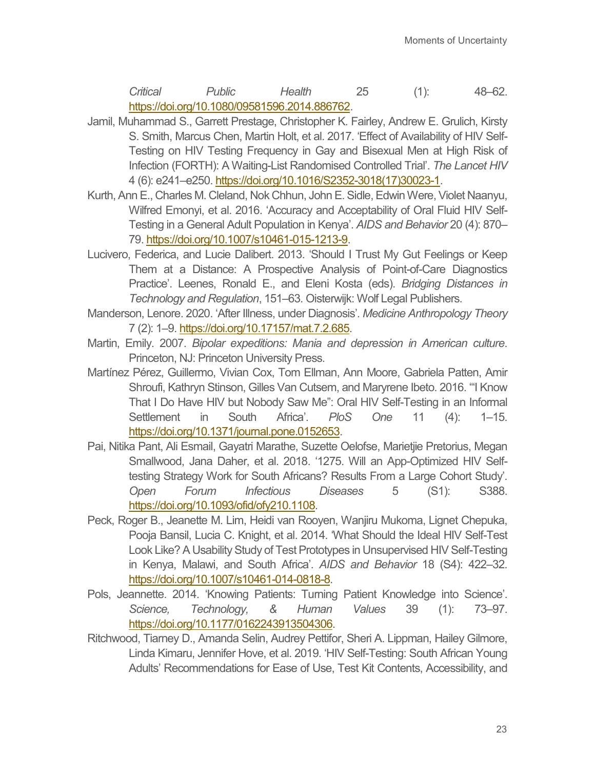*Critical Public Health* 25 (1): 48–62. [https://doi.org/10.1080/09581596.2014.886762.](https://doi.org/10.1080/09581596.2014.886762)

- Jamil, Muhammad S., Garrett Prestage, Christopher K. Fairley, Andrew E. Grulich, Kirsty S. Smith, Marcus Chen, Martin Holt, et al. 2017. 'Effect of Availability of HIV Self-Testing on HIV Testing Frequency in Gay and Bisexual Men at High Risk of Infection (FORTH): A Waiting-List Randomised Controlled Trial'. *The Lancet HIV* 4 (6): e241–e250[. https://doi.org/10.1016/S2352-3018\(17\)30023-1.](https://doi.org/10.1016/S2352-3018(17)30023-1)
- Kurth, Ann E., Charles M. Cleland, Nok Chhun, John E. Sidle, Edwin Were, Violet Naanyu, Wilfred Emonyi, et al. 2016. 'Accuracy and Acceptability of Oral Fluid HIV Self-Testing in a General Adult Population in Kenya'. *AIDS and Behavior* 20 (4): 870– 79[. https://doi.org/10.1007/s10461-015-1213-9.](https://doi.org/10.1007/s10461-015-1213-9)
- Lucivero, Federica, and Lucie Dalibert. 2013. 'Should I Trust My Gut Feelings or Keep Them at a Distance: A Prospective Analysis of Point-of-Care Diagnostics Practice'. Leenes, Ronald E., and Eleni Kosta (eds). *Bridging Distances in Technology and Regulation*, 151–63. Oisterwijk: Wolf Legal Publishers.
- Manderson, Lenore. 2020. 'After Illness, under Diagnosis'. *Medicine Anthropology Theory* 7 (2): 1–9[. https://doi.org/10.17157/mat.7.2.685.](https://doi.org/10.17157/mat.7.2.685)
- Martin, Emily. 2007. *Bipolar expeditions: Mania and depression in American culture*. Princeton, NJ: Princeton University Press.
- Martínez Pérez, Guillermo, Vivian Cox, Tom Ellman, Ann Moore, Gabriela Patten, Amir Shroufi, Kathryn Stinson, Gilles Van Cutsem, and Maryrene Ibeto. 2016. '"I Know That I Do Have HIV but Nobody Saw Me": Oral HIV Self-Testing in an Informal Settlement in South Africa'. *PloS One* 11 (4): 1–15. [https://doi.org/10.1371/journal.pone.0152653.](https://doi.org/10.1371/journal.pone.0152653)
- Pai, Nitika Pant, Ali Esmail, Gayatri Marathe, Suzette Oelofse, Marietjie Pretorius, Megan Smallwood, Jana Daher, et al. 2018. '1275. Will an App-Optimized HIV Selftesting Strategy Work for South Africans? Results From a Large Cohort Study'. *Open Forum Infectious Diseases* 5 (S1): S388. [https://doi.org/10.1093/ofid/ofy210.1108.](https://doi.org/10.1093/ofid/ofy210.1108)
- Peck, Roger B., Jeanette M. Lim, Heidi van Rooyen, Wanjiru Mukoma, Lignet Chepuka, Pooja Bansil, Lucia C. Knight, et al. 2014. 'What Should the Ideal HIV Self-Test Look Like? A Usability Study of Test Prototypes in Unsupervised HIV Self-Testing in Kenya, Malawi, and South Africa'. *AIDS and Behavior* 18 (S4): 422–32. [https://doi.org/10.1007/s10461-014-0818-8.](https://doi.org/10.1007/s10461-014-0818-8)
- Pols, Jeannette. 2014. 'Knowing Patients: Turning Patient Knowledge into Science'. *Science, Technology, & Human Values* 39 (1): 73–97. [https://doi.org/10.1177/0162243913504306.](https://doi.org/10.1177/0162243913504306)
- Ritchwood, Tiarney D., Amanda Selin, Audrey Pettifor, Sheri A. Lippman, Hailey Gilmore, Linda Kimaru, Jennifer Hove, et al. 2019. 'HIV Self-Testing: South African Young Adults' Recommendations for Ease of Use, Test Kit Contents, Accessibility, and